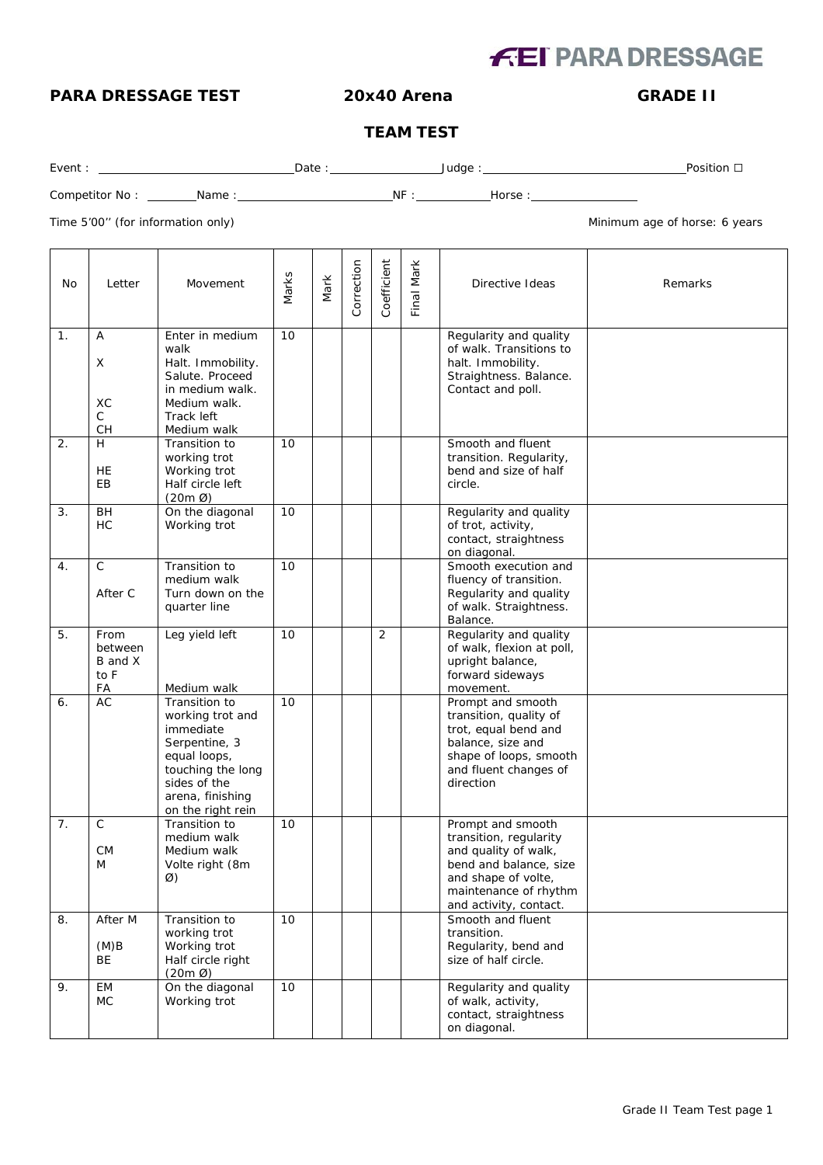# **FEI PARA DRESSAGE**

### **PARA DRESSAGE TEST 20x40 Arena GRADE II**

### **TEAM TEST**

| Event | Date | Judae | Position |
|-------|------|-------|----------|
|       |      |       |          |

Competitor No : Name : NF : Horse :

Time 5'00" (for information only) and the state of the state of the Minimum age of horse: 6 years

| No. | Letter                                   | Movement                                                                                                                                                      | Marks | Mark | Correction | Coefficient | Final Mark | Directive Ideas                                                                                                                                                         | Remarks |
|-----|------------------------------------------|---------------------------------------------------------------------------------------------------------------------------------------------------------------|-------|------|------------|-------------|------------|-------------------------------------------------------------------------------------------------------------------------------------------------------------------------|---------|
| 1.  | Α<br>Χ<br>XC<br>C<br>CH                  | Enter in medium<br>walk<br>Halt. Immobility.<br>Salute. Proceed<br>in medium walk.<br>Medium walk.<br>Track left<br>Medium walk                               | 10    |      |            |             |            | Regularity and quality<br>of walk. Transitions to<br>halt. Immobility.<br>Straightness. Balance.<br>Contact and poll.                                                   |         |
| 2.  | H<br><b>HE</b><br>EB                     | Transition to<br>working trot<br>Working trot<br>Half circle left<br>$(20m \varnothing)$                                                                      | 10    |      |            |             |            | Smooth and fluent<br>transition. Regularity,<br>bend and size of half<br>circle.                                                                                        |         |
| 3.  | <b>BH</b><br>HC                          | On the diagonal<br>Working trot                                                                                                                               | 10    |      |            |             |            | Regularity and quality<br>of trot, activity,<br>contact, straightness<br>on diagonal.                                                                                   |         |
| 4.  | $\mathsf C$<br>After C                   | Transition to<br>medium walk<br>Turn down on the<br>quarter line                                                                                              | 10    |      |            |             |            | Smooth execution and<br>fluency of transition.<br>Regularity and quality<br>of walk. Straightness.<br>Balance.                                                          |         |
| 5.  | From<br>between<br>B and X<br>to F<br>FA | Leg yield left<br>Medium walk                                                                                                                                 | 10    |      |            | 2           |            | Regularity and quality<br>of walk, flexion at poll,<br>upright balance,<br>forward sideways<br>movement.                                                                |         |
| 6.  | AC                                       | Transition to<br>working trot and<br>immediate<br>Serpentine, 3<br>equal loops,<br>touching the long<br>sides of the<br>arena, finishing<br>on the right rein | 10    |      |            |             |            | Prompt and smooth<br>transition, quality of<br>trot, equal bend and<br>balance, size and<br>shape of loops, smooth<br>and fluent changes of<br>direction                |         |
| 7.  | $\mathsf C$<br><b>CM</b><br>M            | Transition to<br>medium walk<br>Medium walk<br>Volte right (8m<br>Ø)                                                                                          | 10    |      |            |             |            | Prompt and smooth<br>transition, regularity<br>and quality of walk,<br>bend and balance, size<br>and shape of volte,<br>maintenance of rhythm<br>and activity, contact. |         |
| 8.  | After M<br>(M)B<br><b>BE</b>             | Transition to<br>working trot<br>Working trot<br>Half circle right<br>$(20m \varnothing)$                                                                     | 10    |      |            |             |            | Smooth and fluent<br>transition.<br>Regularity, bend and<br>size of half circle.                                                                                        |         |
| 9.  | <b>EM</b><br>MC.                         | On the diagonal<br>Working trot                                                                                                                               | 10    |      |            |             |            | Regularity and quality<br>of walk, activity,<br>contact, straightness<br>on diagonal.                                                                                   |         |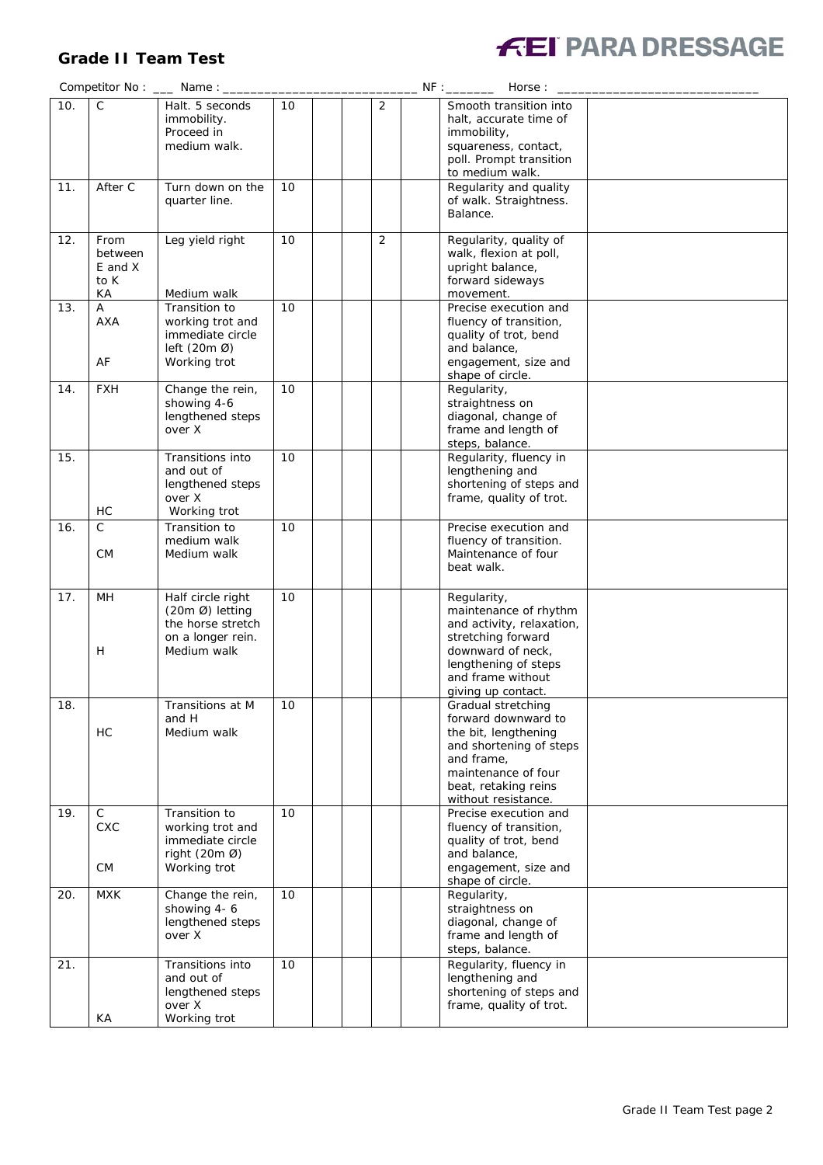## **Grade II Team Test**



|     |                                          | Competitor No: __ Name: _                                                                                  |    |   | Horse:                                                                                                                                                                           |  |
|-----|------------------------------------------|------------------------------------------------------------------------------------------------------------|----|---|----------------------------------------------------------------------------------------------------------------------------------------------------------------------------------|--|
| 10. | $\mathsf{C}$                             | Halt. 5 seconds<br>immobility.<br>Proceed in<br>medium walk.                                               | 10 | 2 | Smooth transition into<br>halt, accurate time of<br>immobility,<br>squareness, contact,<br>poll. Prompt transition<br>to medium walk.                                            |  |
| 11. | After C                                  | Turn down on the<br>quarter line.                                                                          | 10 |   | Regularity and quality<br>of walk. Straightness.<br>Balance.                                                                                                                     |  |
| 12. | From<br>between<br>E and X<br>to K<br>КA | Leg yield right<br>Medium walk                                                                             | 10 | 2 | Regularity, quality of<br>walk, flexion at poll,<br>upright balance,<br>forward sideways<br>movement.                                                                            |  |
| 13. | A<br><b>AXA</b><br>AF                    | Transition to<br>working trot and<br>immediate circle<br>left $(20m \emptyset)$<br>Working trot            | 10 |   | Precise execution and<br>fluency of transition,<br>quality of trot, bend<br>and balance,<br>engagement, size and<br>shape of circle.                                             |  |
| 14. | <b>FXH</b>                               | Change the rein,<br>showing 4-6<br>lengthened steps<br>over X                                              | 10 |   | Regularity,<br>straightness on<br>diagonal, change of<br>frame and length of<br>steps, balance.                                                                                  |  |
| 15. | HC                                       | Transitions into<br>and out of<br>lengthened steps<br>over X<br>Working trot                               | 10 |   | Regularity, fluency in<br>lengthening and<br>shortening of steps and<br>frame, quality of trot.                                                                                  |  |
| 16. | C.<br>СM                                 | Transition to<br>medium walk<br>Medium walk                                                                | 10 |   | Precise execution and<br>fluency of transition.<br>Maintenance of four<br>beat walk.                                                                                             |  |
| 17. | MH<br>Н                                  | Half circle right<br>$(20m \, \emptyset)$ letting<br>the horse stretch<br>on a longer rein.<br>Medium walk | 10 |   | Regularity,<br>maintenance of rhythm<br>and activity, relaxation,<br>stretching forward<br>downward of neck,<br>lengthening of steps<br>and frame without<br>giving up contact.  |  |
| 18. | HC                                       | Transitions at M<br>and H<br>Medium walk                                                                   | 10 |   | Gradual stretching<br>forward downward to<br>the bit, lengthening<br>and shortening of steps<br>and frame,<br>maintenance of four<br>beat, retaking reins<br>without resistance. |  |
| 19. | $\mathsf{C}$<br><b>CXC</b><br>СM         | Transition to<br>working trot and<br>immediate circle<br>right $(20m \ 0)$<br>Working trot                 | 10 |   | Precise execution and<br>fluency of transition,<br>quality of trot, bend<br>and balance,<br>engagement, size and<br>shape of circle.                                             |  |
| 20. | <b>MXK</b>                               | Change the rein,<br>showing 4-6<br>lengthened steps<br>over X                                              | 10 |   | Regularity,<br>straightness on<br>diagonal, change of<br>frame and length of<br>steps, balance.                                                                                  |  |
| 21. | KA                                       | Transitions into<br>and out of<br>lengthened steps<br>over X<br>Working trot                               | 10 |   | Regularity, fluency in<br>lengthening and<br>shortening of steps and<br>frame, quality of trot.                                                                                  |  |